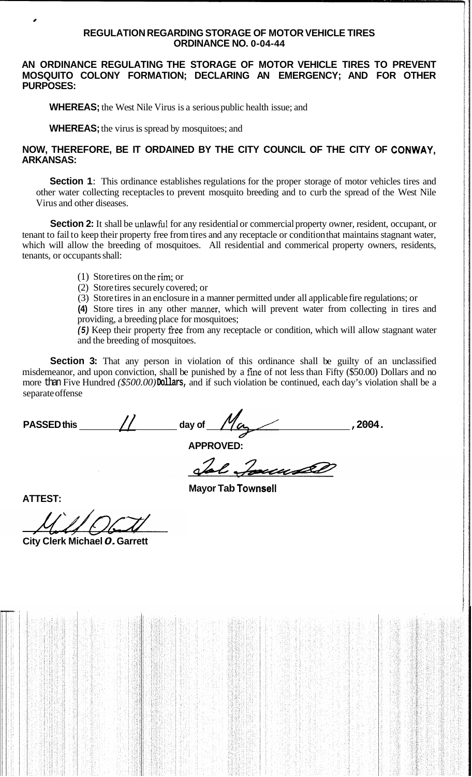### **REGULATION REGARDING STORAGE OF MOTOR VEHICLE TIRES ORDINANCE NO. 0-04-44**

### **AN ORDINANCE REGULATING THE STORAGE OF MOTOR VEHICLE TIRES TO PREVENT MOSQUITO COLONY FORMATION; DECLARING AN EMERGENCY; AND FOR OTHER PURPOSES:**

**WHEREAS;** the West Nile Virus is a serious public health issue; and

**WHEREAS;** the virus is spread by mosquitoes; and

## **NOW, THEREFORE, BE IT ORDAINED BY THE CITY COUNCIL OF THE CITY OF CONWAY, ARKANSAS:**

**Section 1:** This ordinance establishes regulations for the proper storage of motor vehicles tires and other water collecting receptacles to prevent mosquito breeding and to curb the spread of the West Nile Virus and other diseases.

**Section 2:** It shall be unlawful for any residential or commercial property owner, resident, occupant, or tenant to fail to keep their property free from tires and any receptacle or condition that maintains stagnant water, which will allow the breeding of mosquitoes. All residential and commerical property owners, residents, tenants, or occupants shall:

- (1) Store tires on the rim, or
- (2) Store tires securely covered; or
- (3) Store tires in an enclosure in a manner permitted under all applicable fire regulations; or

**(4)** Store tires in any other mer, which will prevent water from collecting in tires and providing, a breeding place for mosquitoes;

*(5)* Keep their property fiee from any receptacle or condition, which will allow stagnant water and the breeding of mosquitoes.

**Section 3:** That any person in violation of this ordinance shall be guilty of an unclassified misdemeanor, and upon conviction, shall be punished by a fme of not less than Fifty (\$50.00) Dollars and no more than Five Hundred *(\$500.00)* **Dollars,** and if such violation be continued, each day's violation shall be a separate offense

**Mayor Tab Townsell** 

| <b>PASSED this</b> |  | day of<br>'a | ,2004. |
|--------------------|--|--------------|--------|
|                    |  |              |        |
| <b>APPROVED:</b>   |  |              |        |

Jol Journal

**ATTEST:** 

\*

**City Clerk Michael** *0.* **Garrett**